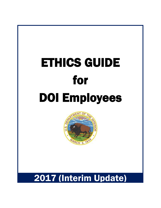

 $\overline{a}$ 



# 2017 (Interim Update)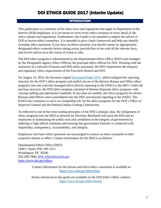#### **INTRODUCTION**

This publication is a summary of the ethics laws and regulations that apply to Department of the Interior (DOI) employees. It is not meant to cover every ethics situation or every detail of the ethics statutes and regulations. Furthermore, this Guide is not intended to replace the advice of DOI or bureau ethics counselors. It is intended to give a basic framework and help you identify everyday ethics questions. If you have an ethics question, you should contact an appropriately designated ethics counselor before taking action, provide him or her with all the relevant facts, and receive advice as to the course of action to take.

The DOI ethics program is administered by the Departmental Ethics Office (DEO) and managed by the Designated Agency Ethics Official, the principal ethics official for DOI. Working with the assistance of a network of bureau and DOI ethics personnel, the DEO implements the statutory and regulatory ethics requirements of the Executive Branch and DOI.

On August 14, 2019, the Secretary signed [Secretarial Order 3375,](https://www.doi.gov/ethics/secretarial-order-announcing-ethics-reorganization) which realigned the reporting structure for the DOI's ethics program and unified eleven of the thirteen Bureau and Office ethics programs into one centrally-managed office directly reporting to the DAEO in the DEO. Under the previous structure, the DOI ethics program consisted of thirteen disparate ethics programs with varying staffing and operational standards. In less than six months, the ethics programs for eleven Bureaus and Offices were consolidated into the DEO and directly reporting to the DAEO. The DAEO also continues to serve in a leadership role for the ethics programs for the DOI's Office of Inspector General and the National Indian Gaming Commission.

As reflected in one of the cross-cutting principles of the DOI's strategic plan, the realignment of ethics programs into the DEO as directed by Secretary Bernhardt will assist the DOI and its employees in maintaining the public trust and confidence in the integrity of government by adhering to high ethical standards and ensuring that government business is conducted with impartiality, transparency, accountability, and integrity.

Employees who have ethics questions are encouraged to contact an ethics counselor in their respective bureau or office. Contact information for the DEO is as follows:

Departmental Ethics Office (DEO) 1849 C Street, NW, MS 5311 Washington, DC 20240 202-208-7960; [DOI\\_Ethics@sol.doi.gov](mailto:DOI_Ethics@sol.doi.gov) <https://www.doi.gov/ethics>

> Contact information for the bureau and office ethics counselors is available at: <https://www.doi.gov/ethics/bem>

> Forms referenced in this guide are available on the DOI Ethics Office website: <https://www.doi.gov/ethics/forms>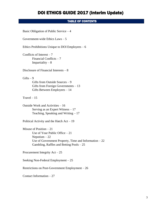#### TABLE OF CONTENTS

Basic Obligation of Public Service – 4 Government-wide Ethics Laws – 5 Ethics Prohibitions Unique to DOI Employees  $-6$ Conflicts of Interest  $-7$ Financial Conflicts – 7 Impartiality  $-8$ Disclosure of Financial Interests – 8  $Gifts - 9$ Gifts from Outside Sources – 9 Gifts from Foreign Governments – 13 Gifts Between Employees – 14  $Travel - 15$ Outside Work and Activities – 16 Serving as an Expert Witness – 17 Teaching, Speaking and Writing  $-17$ Political Activity and the Hatch  $Act - 19$ Misuse of Position – 21 Use of Your Public Office – 21 Nepotism – 22 Use of Government Property, Time and Information  $-22$ Gambling, Raffles and Betting Pools – 25 Procurement Integrity Act – 25 Seeking Non-Federal Employment – 25 Restrictions on Post-Government Employment – 26 Contact Information – 27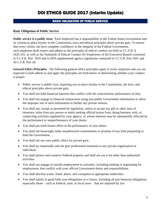#### BASIC OBLIGATION OF PUBLIC SERVICE

#### **Basic Obligation of Public Service**

*Public service is a public trust.* Each [employee](https://www.law.cornell.edu/definitions/index.php?width=840&height=800&iframe=true&def_id=b3464e805fbe7dd2347838286439bc3a&term_occur=999&term_src=Title:5:Chapter:XVI:Subchapter:B:Part:2635:Subpart:A:2635.101) has a responsibility to the United States Government and its citizens to place loyalty to the Constitution, laws and ethical principles above private gain. To ensure that every citizen can have complete confidence in the integrity of the [Federal Government,](https://www.law.cornell.edu/definitions/index.php?width=840&height=800&iframe=true&def_id=cd4208d1b3417a601f5d4f306c4f9cf6&term_occur=999&term_src=Title:5:Chapter:XVI:Subchapter:B:Part:2635:Subpart:A:2635.101) each [employee](https://www.law.cornell.edu/definitions/index.php?width=840&height=800&iframe=true&def_id=b3464e805fbe7dd2347838286439bc3a&term_occur=999&term_src=Title:5:Chapter:XVI:Subchapter:B:Part:2635:Subpart:A:2635.101) shall respect and adhere to the principles of ethical conduct set forth in 5 C.F.R. § 2635.101, as well as the Standards of Ethical Conduct for Employees of the Executive Branch contained in 5 C.F.R. Part 2635 and in DOI supplemental [agency](https://www.law.cornell.edu/definitions/index.php?width=840&height=800&iframe=true&def_id=f426e491198f979b78466255c74a3e99&term_occur=999&term_src=Title:5:Chapter:XVI:Subchapter:B:Part:2635:Subpart:A:2635.101) regulations contained in 5 C.F.R. Part 3501 and 43 C.F.R. Part 20.

*General Ethics Principles.* The following general ethics principles apply to every employee and you are expected to both adhere to and apply the principles set forth below in determining whether your conduct is proper:

- Public service is public trust, requiring you to place loyalty to the Constitution, the laws, and ethical principles above private gain.
- You shall not hold financial interests that conflict with the conscientious performance of duty.
- You shall not engage in financial transactions using non-public Government information or allow the improper use of such information to further any private interest.
- You shall not, except as permitted by regulation, solicit or accept any gift or other item of monetary value from any person or entity seeking official action from, doing business with, or conducting activities regulated by your agency, or whose interests may be substantially affected by the performance or nonperformance of your duties.
- You shall put forth honest effort in the performance of your duties.
- You shall not knowingly make unauthorized commitments or promise of any kind purporting to bind the Government.
- You shall not use your public office for private gain.
- You shall act impartially and not give preferential treatment to any private organization or individual.
- You shall protect and conserve Federal property and shall not use it for other than authorized activities.
- You shall not engage in outside employment or activities, including seeking or negotiating for employment, that conflict with your official Government duties and responsibilities.
- You shall disclose waste, fraud, abuse, and corruption to appropriate authorities.
- You shall satisfy in good faith your obligations as a citizen, including all just financial obligations, especially those – such as Federal, state, or local taxes – that are imposed by law.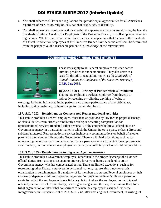- You shall adhere to all laws and regulations that provide equal opportunities for all Americans regardless of race, color, religion, sex, national origin, age, or disability.
- You shall endeavor to avoid any actions creating the appearance that you are violating the law, the Standards of Ethical Conduct for Employees of the Executive Branch, or DOI supplemental ethics regulations. Whether particular circumstances create an appearance that the law or the Standards of Ethical Conduct for Employees of the Executive Branch have been violated shall be determined from the perspective of a reasonable person with knowledge of the relevant facts.

#### GOVERNMENT-WIDE CRIMINAL ETHICS STATUTES



These laws apply to all Federal employees and each carries criminal penalties for noncompliance. They also serve as a basis for the ethics regulations known as the *Standards of Ethical Conduct for Employees of the Executive Branch*, 5 C.F.R. Part 2635.

#### **18 U.S.C. § 201 – Bribery of Public Officials Prohibited** This statute prohibits a Federal employee from directly or

indirectly receiving or soliciting anything of value in

exchange for being influenced in the performance or non-performance of any official act, including giving testimony, or in exchange for committing fraud.

#### **18 U.S.C. § 203 – Restrictions on Compensated Representational Activities**

This statute prohibits a Federal employee, other than as provided by law for the proper discharge of official duties, from directly or indirectly seeking or accepting compensation for representational services (rendered either personally or by another) before a Federal court or Government agency in a particular matter in which the United States is a party or has a direct and substantial interest. Representational services include any communications on behalf of another party with the intent to influence the Government. There are limited exceptions, such as for representing oneself or one's immediate family or a person or estate for which the employee acts as a fiduciary, but not where the employee has participated officially or has official responsibility.

#### **18 U.S.C. § 205 – Restrictions on Acting as an Agent or Attorney**

This statute prohibits a Government employee, other than in the proper discharge of his or her official duties, from acting as an agent or attorney for anyone before a Federal court or Government agency, whether compensated or not. There are limited exceptions, such as for representing other Federal employees in personnel matters; representing a not-for-profit organization in certain matters, if a majority of its members are current Federal employees or their spouses or dependent children; representing oneself or one's immediate family or a person or estate for which the employee acts as a fiduciary, but not where the employee has participated officially or has official responsibility; or acting as an agent or attorney, in certain matters, for a tribal organization or inter-tribal consortium to which the employee is assigned under the Intergovernmental Personnel Act or 25 U.S.C. § 48, after advising the Government, in writing, of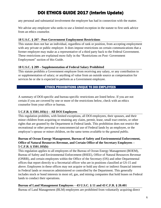any personal and substantial involvement the employee has had in connection with the matter.

We advise any employee who seeks to use a limited exception in the statute to first seek advice from an ethics counselor.

#### **18 U.S.C. § 207 - Post-Government Employment Restrictions**

This statute does not bar an individual, regardless of rank or position, from accepting employment with any private or public employer. It does impose restrictions on certain communications that a former employee may make as a representative of a third party back to the Federal Government. These restrictions are explained more fully in the "Restrictions on Post- Government Employment" section of this Guide.

#### **18 U.S.C. § 209 – Supplementation of Federal Salary Prohibited**

This statute prohibits a Government employee from receiving any salary, or any contribution to or supplementation of salary; or anything of value from an outside source as compensation for services he or she is expected to perform as a Government employee.

#### ETHICS PROHIBITIONS UNIQUE TO DOI EMPLOYEES

A summary of DOI-specific and bureau-specific restrictions are listed below. If you are not certain if you are covered by one or more of the restrictions below, check with an ethics counselor from your office or bureau.

#### **5 C.F.R. § 3501.103(c) – All DOI Employees**

This regulation prohibits, with limited exceptions, all DOI employees, their spouses, and their minor children from acquiring or retaining any claim, permit, lease, small tract entries, or other rights that are granted by the Department in Federal lands. This prohibition does not restrict the recreational or other personal or noncommercial use of Federal lands by an employee, or the employee's spouse or minor children, on the same terms available to the general public.

#### **Bureau of Ocean Energy Management, Bureau of Safety and Environmental Enforcement, Office of Natural Resources Revenue, and Certain Office of the Secretary Employees – 5 C.F.R. § 3501.103(b)**

This regulation applies to all employees of the Bureau of Ocean Energy Management (BOEM), Bureau of Safety and Environmental Enforcement (BSEE), Office of Natural Resources Revenue (ONRR), and certain employees within the Office of the Secretary (OS) and other Departmental offices that report directly to a Secretarial officer who are in positions classified at GS-15 and above. Employees in these offices may not acquire or hold any direct or indirect financial interest in Federal lands or resources administered or controlled by the Department. This generally includes stock or bond interests in most oil, gas, and mining companies that hold leases on Federal lands to conduct their operations.

#### **Bureau of Land Management Employees – 43 U.S.C. § 11 and 43 C.F.R. § 20.401**

Bureau of Land Management (BLM) employees are prohibited from voluntarily acquiring direct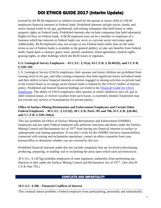(owned by the BLM employee) or indirect (owned by the spouse or minor child of a BLM employee) financial interests in Federal lands. Prohibited interests include stocks, bonds, and sector mutual funds in oil, gas, geothermal, and mining companies that hold leases or other property rights on Federal lands. Prohibited interests also include companies that hold substantial Rights-of-Way on Federal lands. A BLM employee may not be a member or employee of a business which has interests in Federal lands, nor serve as a private sector real estate agent. Additionally, BLM employees may not occupy or use Federal lands (other than on the same terms as use of Federal lands is available to the general public), or take any benefits from Federal lands, based upon a contract, grant, lease, permit, easement, rental agreement, mineral rights, grazing rights, or other holdings which the BLM issues or regulates.

#### **U.S. Geological Survey Employees – 43 U.S.C. § 31(a), 43 C.F.R. § 20.401(b), and 5 C.F.R. § 3501.104**

U.S. Geological Survey (USGS) employees, their spouses and minor children are prohibited from owning stock in oil, gas, and other mining companies that hold significant leases onFederal lands and their ability to have financial interests in entities engaged in mining activities on private land in the United States or in energy sector mutual funds is limited by the USGS Conflict of Interest policy. Prohibited and limited financial holdings are listed in the [Financial](https://www2.usgs.gov/quality_integrity/ethics/) [Guide for USGS](https://www2.usgs.gov/quality_integrity/ethics/)  [Employees.](https://www2.usgs.gov/quality_integrity/ethics/) The ability of USGS employees, their spouses or minor children to own oil, gas or other mineral leases, or receive royalties from such leases, is extremely limited. Employees may not execute any surveys or examinations for private parties.

#### **Office of Surface Mining Reclamation and Enforcement Employees and Certain Other Federal Employees – 30 U.S.C. § 1211(f), 30 C.F.R. Parts 705 and 706, 43 C.F.R. §20.402, and 5 C.F.R. § 3501.104(a)**

This law prohibits all Office of Surface Mining Reclamation and Enforcement (OSMRE) employees and any other Federal employee who performs functions and duties under the Surface Mining Control and Reclamation Act of 1977 from having any financial interests in surface or underground coal mining operations. If you don't work for the OSMRE but have responsibilities connected with mining and reclamation operations, contact an ethics counselor from your bureau/office to determine whether you are covered by this law.

Prohibited financial interests under this law include companies that are involved indeveloping, producing, preparing, or loading coal or reclaiming the areas upon which such activitiesoccur.

30 U.S.C. § 1267(g) prohibits employees of state regulatory authorities from performing any function or duty under the Surface Mining Control and Reclamation Act of 1977. (*See also*30 C.F.R. Part 705.)

#### CONFLICTS AND IMPARTIALITY

#### **18 U.S.C. § 208 – Financial Conflicts of Interest**

This criminal statute prohibits a Federal employee from participating, personally and substantially,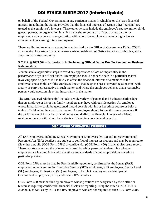on behalf of the Federal Government, in any particular matter in which he or she has a financial interest. In addition, the statute provides that the financial interests of certain other "persons" are treated as the employee's interests. These other persons include the employee's spouse, minor child, general partner, an organization in which he or she serves as an officer, trustee, partner or employee, and any person or organization with whom the employee is negotiating or has an arrangement concerning future employment.

There are limited regulatory exemptions authorized by the Office of Government Ethics (OGE), an exception for certain financial interests arising solely out of Native American birthrights, and a very limited waiver authority.

#### **5 C.F.R. § 2635.502 – Impartiality in Performing Official Duties Due To Personal or Business Relationships**

You must take appropriate steps to avoid any appearance of loss of impartiality in the performance of your official duties. An employee should not participate in a particular matter involving specific parties if it is likely to affect the financial interests of a member of the employee's household, or if the employee knows that he or she has a "covered relationship" with a party or party representative in such matter, and where the employee believes that a reasonable person would question his or her impartiality in the matter.

The term "covered relationship" includes a wide variety of personal and business relationships that an employee or his or her family members may have with outside parties. An employee whose impartiality could be questioned should consult with his or her ethics counselor before taking official action in a particular matter. An employee should follow this same procedure if the performance of his or her official duties would affect the financial interests of a friend, relative, or person with whom he or she is affiliated in a non-Federal capacity.

#### DISCLOSURE OF FINANCIAL INTERESTS

All DOI employees, including Special Government Employees (SGEs) and Intergovernmental Personnel Act (IPA) detailees, are subject to conflict of interest restrictions and may be required to file either a public (OGE Form 278e) or confidential (OGE Form 450) financial disclosure report. These reports are among the primary tools used by ethics personnel to determine whether employees are in compliance with the ethics and standards of conduct provisions covering a particular position.

OGE Form 278e must be filed by Presidentially-appointed, confirmed by the Senate (PAS) employees, non-career Senior Executive Service (SES) employees, SES employees, Senior Level (SL) employees, Professional (ST) employees, Schedule C employees, certain Special Government Employees (SGE), and certain IPA detailees.

OGE Form 450 must be filed by employees whose positions are designated by their office or bureau as requiring confidential financial disclosure reporting, using the criteria in 5 C.F.R. § 2634.904, as well as by SGEs and IPA employees who are not required to file OGE Form 278e.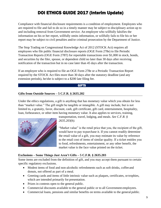Compliance with financial disclosure requirements is a condition of employment. Employees who are required to file and fail to do so in a timely manner may be subject to disciplinary action up to and including removal from Government service. An employee who willfully falsifies the information on his or her report, willfully omits information, or willfully fails to file his or her report may be subject to civil penalties and/or criminal prosecution by the Department of Justice.

The Stop Trading on Congressional Knowledge Act of 2012 (STOCK Act) requires all employees who file public financial disclosure reports (OGE Form 278e) to file Periodic Transaction Reports (OGE Form 278T) for reportable transactions over \$1,000 in stock, bonds, and securities by the filer, spouse, or dependent child no later than 30 days after receiving notification of the transaction but in no case later than 45 days after the transaction.

If an employee who is required to file an OGE Form 278e or a Periodic Transaction Report required by the STOCK Act files more than 30 days after the statutory deadline (and any extension periods), he/she is subject to a \$200 late filing fee.

#### **GIFTS**

#### **Gifts from Outside Sources – 5 C.F.R. § 2635.202**

Under the ethics regulations, a gift is anything that has monetary value which you obtain for less than "market value." The gift might be tangible or intangible. A gift may include, but is not limited to, a gratuity, favor, discount, cash, gift certificate, gift card, entertainment, hospitality, loan, forbearance, or other item having monetary value. It also applies to services, training,



transportation, travel, lodging, and meals. *See C.F.R. § 2635.203(b).*

"Market value" is the retail price that you, the recipient of the gift, would have to pay topurchase it. If you cannot readily determine the retail value of a gift, you may estimate its value by reference to the retail cost of items of similar quality. If a ticket entitles you to food, refreshments, entertainment, or any other benefit, the market value is the face value printed on the ticket.

#### **Exclusions – Some Things Just Aren't Gifts – 5 C.F.R. § 2635.203**

Some items are excluded from the definition of gift, and you may accept them pursuant to certain specific regulatory exclusions.

- Modest items of food and non-alcoholic refreshments such as soft drinks, coffee and donuts, not offered as part of a meal.
- Greeting cards and items of little intrinsic value such as plaques, certificates, ortrophies, which are intended primarily for presentation.
- Prizes in contests open to the general public.
- Commercial discounts available to the general public or to all Government employees.
- Commercial loans, pensions and similar benefits on terms available to the general public.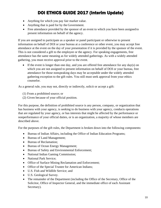- Anything for which you pay fair market value.
- Anything that is paid for by the Government.
- Free attendance provided by the sponsor of an event to which you have been assigned to present information on behalf of the agency.

If you are assigned to participate as a speaker or panel participant or otherwise to present information on behalf of DOI or your bureau at a conference or other event, you may accept free attendance at the event on the day of your presentation if it is provided by the sponsor of the event. This is not considered a gift to the employee or the agency. For speaking engagements, free attendance has the same meaning as for widely attended gatherings. As with a widely attended gathering, you must receive approval prior to the event.

• If the event is longer than one day, and you are offered free attendance for any day(s) on which you are not assigned to present information on behalf of DOI or your bureau, free attendance for those nonspeaking days may be acceptable under the widely attended gathering exception to the gift rules. You still must seek approval from your ethics counselor.

As a general rule, you may not, directly or indirectly, solicit or accept a gift:

- (1) From a prohibited source; or
- (2) Given because of your official position.

For this purpose, the definition of prohibited source is any person, company, or organization that has business with your agency, is seeking to do business with your agency, conducts operations that are regulated by your agency, or has interests that might be affected by the performance or nonperformance of your official duties, or is an organization, a majority of whose members are described above.

For the purposes of the gift rules, the Department is broken down into the following components:

- Bureau of Indian Affairs, including the Office of Indian Education Programs;
- Bureau of Land Management;
- Bureau of Reclamation;
- Bureau of Ocean Energy Management;
- Bureau of Safety and Environmental Enforcement;
- National Indian Gaming Commission;
- National Park Service:
- Office of Surface Mining Reclamation and Enforcement;
- Office of the Special Trustee for American Indians;
- U.S. Fish and Wildlife Service; and
- U.S. Geological Survey.
- The remainder of the Department (including the Office of the Secretary, Office of the Solicitor, Office of Inspector General, and the immediate office of each Assistant Secretary).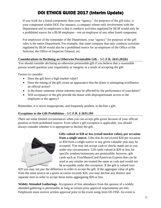If you work for a listed component, then your "agency," for purposes of the gift rules, is your component within DOI. For instance, a company whose only involvement with the Department and its employees is that it conducts activities regulated by BLM would only be a prohibited source for a BLM employee—not an employee of any other listed component.

For employees of the remainder of the Department, your "agency" for purposes of the gift rules is the entire Department. For example, that same company that only conducts activities regulated by BLM would also be a prohibited source for an employee of the Office of the Solicitor, the Office of Inspector General, etc.

#### **Considerations in Declining an Otherwise Permissible Gift – 5 C.F.R. 2635.201(b)**

You should consider declining an otherwise permissible gift if you believe that a reasonable person would question your impartiality or integrity as a result of accepting the gift.

Factors to consider:

- Does the gift have a high market value?
- Does the timing of the gift create an appearance that the donor is attempting to influence an official action?
- Is the donor someone whose interests may be affected by the performance of your duties?
- Will acceptance of the gift provide the donor with disproportionate access to the employee or the agency?

Remember, it is never inappropriate, and frequently prudent, to decline a gift.

#### **Exceptions to the Gift Prohibition – 5 C.F.R. § 2635.204**

There are some limited circumstances when you can accept gifts given because of your official position or from prohibited sources. Even where a gift exception is applicable, you should always consider whether it is appropriate to decline the gift.



**Gifts valued at \$20 or less (retail market value), per occasion from a single source.** Gifts that do not exceed \$20 per occasion or \$50 from a single source in any given calendar year may be accepted. You may not accept cash or checks made out to you under any circumstance. Gift cards valued at \$20 or less for specific vendors/restaurants are permissible; however, gift cards such as Visa/MasterCard/American Express that can be used at any retailer are treated the same as cash and would not be acceptable under this exception. If the gift is valued over

\$20 you may not pay the difference in order to accept the gift. If the aggregate value of gifts from the same source on a given occasion exceeds \$20, you may decline any distinct and separate item in order to accept those items aggregating \$20 or less.

**Widely Attended Gatherings.** Acceptance of free attendance from the sponsor of a widely attended gathering is permissible as long as certain prior approval requirements are met. Employees must receive written approval prior to the event using form DI-1958. An event is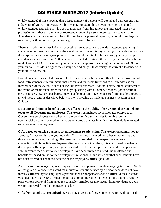widely attended if it is expected that a large number of persons will attend and that persons with a diversity of views or interests will be present. For example, an event may be considered a widely attended gathering if it is open to members from throughout the interested industry or profession or if those in attendance represent a range of persons interested in a given matter. Attendance at such an event will be in the employee's personal capacity, i.e. on the employee's own time, or if authorized by the agency, on excused absence.

There is an additional restriction on accepting free attendance to a widely attended gathering if someone other than the sponsor of the event invited you and is paying for your attendance (such as if a corporation or friends group invited you to sit at their table). In that case, you may accept free attendance only if more than 100 persons are expected to attend, the gift of your attendance has a market value of \$390 or less, and your attendance is approved as being in the interest of DOI or your bureau. This dollar figure may change periodically. Please verify the current allowance with your ethics counselor.

Free attendance may include waiver of all or part of a conference or other fee or the provision of food, refreshments, entertainment, instruction, and materials furnished to all attendees as an integral part of the event. It does not include travel expenses, lodging, entertainment collateral to the event, or meals taken other than in a group setting with all other attendees. (Under certain circumstances, DOI or your bureau may be able to accept travel expenses from outside sources to attend these events as described below in the "Traveling on Official Business" section of this Guide.)

**Discounts and similar benefits that are offered to the public, other groups that you belong to, or to all Government employees.** This exception includes favorable rates offered to all Government employees even when you are off duty. It also includes favorable rates and commercial discounts offered to members of a group or class in which membership is unrelated to Government employment.

**Gifts based on outside business or employment relationships.** This exception permits you to accept gifts that result from your outside affiliations, outside work, or other relationships and those of your spouse, including gifts customarily provided by a prospective employer in connection with bona fide employment discussions, provided the gift is not offered or enhanced due to your official position, and gifts provided by a former employer to attend a reception or similar event when other former employees have been invited to attend, the invitation and benefits are based on the former employment relationship, and it is clear that such benefits have not been offered or enhanced because of the employee's official position.

**Awards and honorary degrees**. Employees may accept awards with an aggregate value of \$200 or less given as a bona fide award for meritorious public service by a person who does not have interests affected by the employee's performance or nonperformance of official duties. Awards valued at more than \$200, or that include cash or an investment interest of any amount, require prior written approval from an ethics counselor. Employees may accept honorary degrees upon written approval from their ethics counselor.

**Gifts from a political organization.** You may accept a gift given in connection with political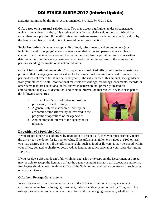activities permitted by the Hatch Act as amended, 5 U.S.C. §§ 7321-7326.

**Gifts based on a personal relationship.** You may accept a gift given under circumstances which make it clear that the gift is motivated by a family relationship or personal friendship rather than your position. If the gift is given for business reasons or is not personally paid for by the family member or friend, it is not covered under this exception.

Social Invitations. You may accept a gift of food, refreshments, and entertainment (not including travel or lodgings) at a social event attended by several persons where no fee is charged to anyone in attendance and the invitation is not from a prohibited source. A written determination from the agency designee is required if either the sponsor of the event or the person extending the invitation is not an individual.

**Gifts of informational materials.** You may accept unsolicited gifts of informational materials, provided that the aggregate market value of all informational materials received from any one person does not exceed \$100 in a calendar year (if the value exceeds this amount, seek guidance from your ethics official). Informational materials are writings, recordings, documents, records, or other items that: are educational or instructive in nature; are not primarily created for entertainment, display, or decoration; and contain information that relates in whole or in part to the following categories:

- 1. The employee's official duties or position, profession, or field of study;
- 2. A general subject matter area, industry, or economic sector affected by or involved in the programs or operations of the agency; or
- 3. Another topic of interest to the agency or its mission.



#### **Disposition of a Prohibited Gift**

If you are not otherwise authorized by regulation to accept a gift, then you must promptly return the gift or pay the donor for its market value. If the gift is a tangible item valued at \$100 or less, you may destroy the item. If the gift is perishable, such as food or flowers, it may be shared within your office, donated to charity or destroyed, as long as an ethics official or your supervisor grants approval.

If you receive a gift that doesn't fall within an exclusion or exception, the Department or bureau may be able to accept the item as a gift to the agency using its statutory gift acceptance authority. Employees should consult with the Office of the Solicitor and their ethics counselor in such cases, on any such items.

#### **Gifts from Foreign Governments**

In accordance with the Emoluments Clause of the U.S. Constitution, you may not accept anything of value from a foreign government, unless specifically authorized by Congress. This rule applies whether you are on or off duty. Any unit of a foreign government, whether it is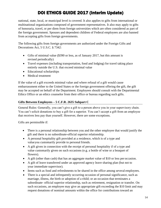national, state, local, or municipal level is covered. It also applies to gifts from international or multinational organizations composed of government representatives. It also may apply to gifts of honoraria, travel, or per diem from foreign universities which are often considered as part of the foreign government. Spouses and dependent children of Federal employees are also banned from accepting gifts from foreign governments.

The following gifts from foreign governments are authorized under the Foreign Gifts and Decorations Act, 5 U.S.C. § 7342:

- Gifts of minimal value (\$390 or less, as of January 2017, but this amount is revised periodically)
- Travel expenses (including transportation, food and lodging) for travel taking place entirely outside the U.S. that exceed minimal value
- Educational scholarships
- Medical treatment

If the value of a gift exceeds minimal value and where refusal of a gift would cause embarrassment either to the United States or the foreign government offering the gift, the gift may be accepted on behalf of the Department. Employees should consult with the Departmental Ethics Office or an ethics counselor from their office or bureau regarding such gifts.

#### **Gifts Between Employees – 5 C.F.R. 2635 Subpart C**

General Rules: Generally, you can't give a gift to a person above you in your supervisory chain. You can't solicit donations to buy a gift for a superior. You can't accept a gift from an employee that receives less pay than yourself. However, there are some exceptions.

Gifts are permissible if:

- There is a personal relationship between you and the other employee that would justify the gift and there is no subordinate-official superior relationship.
- A personal hospitality gift provided at a residence, which is of a type and valueyou customarily provide to personal friends.
- A gift given in connection with the receipt of personal hospitality if of a type and value customarily given on such occasions (e.g. a bottle of wine or a bouquet of flowers).
- A gift (other than cash) that has an aggregate market value of \$10 or less per occasion.
- A gift of leave transferred under an approved agency leave sharing plan (but not to your immediate supervisor).
- Items such as food and refreshments to be shared in the office among several employees.
- There is a special and infrequently occurring occasion of personal significance, such as marriage, illness, the birth or adoption of a child; or an occasion that terminates a subordinate- official superior relationship, such as retirement, resignation or transfer. On such occasions, an employee may give an appropriate gift exceeding the \$10 limit and may request donations of nominal amounts within the office for contributions toward an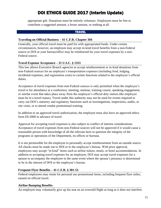appropriate gift. Donations must be entirely voluntary. Employees must be free to contribute a suggested amount, a lesser amount, or nothing at all.

#### **TRAVEL**

#### **Traveling on Official Business – 41 C.F.R. Chapter 304**

Generally, your official travel must be paid for with appropriated funds. Under certain circumstances, however, an employee may accept in-kind travel benefits from a non-Federal source or DOI or your bureau/office may be reimbursed for your travel expenses by a non-Federal source.

#### **Travel Expense Acceptance – 31 U.S.C. § 1353**

This law allows Executive Branch agencies to accept reimbursement or in-kind donations from non-Federal sources for an employee's transportation expenses (including food, lodging, incidental expenses, and registration costs) to certain functions related to the employee's official duties.

Acceptance of travel expenses from non-Federal sources is only permitted when the employee's travel is for attendance at a conference, meeting, seminar, training course, speaking engagement, or similar event that takes place away from the employee's official duty station (the employee must be in a travel status). Travel under this authority may not be used for events required to carry out DOI's statutory and regulatory functions such as investigations, inspections, audits, or site visits, or to attend vendor promotional training.

In addition to an approved travel authorization, the employee must also have an approved ethics form DI-2000 in advance of travel.

Approval for accepting travel expenses is also subject to conflict of interest considerations. Acceptance of travel expenses from non-Federal sources will not be approved if it would cause a reasonable person with knowledge of all the relevant facts to question the integrity of the programs or operations of the Department, its offices or bureaus.

It is not permissible for the employee to personally accept reimbursement from an outside source. All checks must be made out to DOI or to the employee's bureau. With prior approval, employees may accept "in kind" items such as airline tickets, meals, or hotel accommodations. In addition to accepting travel expenses for an employee, DOI may accept travel expenses for a spouse to accompany the employee to the same event where the spouse's presence is determined to be in the interest of DOI or the employee's bureau.

#### **Frequent Flyer Benefits – 41 C.F.R. § 301-53**

Federal employees may retain for personal use promotional items, including frequent flyer miles, earned on official travel.

#### **Airline Bumping Benefits**

An employee may voluntarily give up his seat on an oversold flight as long as it does not interfere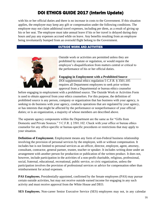with his or her official duties and there is no increase in costs to the Government. If this situation applies, the employee may keep any gift or compensation under the following conditions. The employee may not claim additional travel expenses, including per diem, as a result of giving up his or her seat. The employee must take annual leave if his or her travel is delayed during duty hours and pay any expenses accrued while on leave. Any benefits resulting from an employee being involuntarily bumped from an oversold flight belong to the Government.

#### OUTSIDE WORK AND ACTIVITIES



Outside work or activities are permitted unless they are prohibited by statute or regulation, or would require the employee's disqualification from matters central or critical to the performance of his or her official duties.

 **Engaging in Employment with a Prohibited Source** DOI supplemental ethics regulation 5 C.F.R. § 3501.105 requires all Department employees to seek prior written

approval from a Departmental or bureau ethics counselor

before engaging in employment with a prohibited source. The Outside Work or Activities Form is used to obtain approval from your ethics counselors. For this purpose, the definition of prohibited source is any person, company or organization that has business with your agency, is seeking to do business with your agency, conducts operations that are regulated by your agency, or has interests that might be affected by the performance or nonperformance of your official duties; or is an organization, a majority of whose members are described above.

The separate agency components within the Department are the same as for "Gifts from Domestic and Private Sources." 5 C.F.R. § 3501.102. Check with your office or bureau ethics counselor for any office-specific or bureau-specific procedures or restrictions that may apply to your situation.

**Definition of Employment.** Employment means any form of non-Federal business relationship involving the provision of personal services by the employee, with or without compensation. It includes but is not limited to personal services as an officer, director, employee, agent, attorney, consultant, contractor, general partner, trustee, teacher or speaker. It includes writing done under an arrangement with another person for production or publication of the written product. It does not, however, include participation in the activities of a non-profit charitable, religious, professional, social, fraternal, educational, recreational, public service, or civic organization, unless the participation involves the provision of professional services or advice for compensation other than reimbursement for actual expenses.

**PAS Employees.** Presidentially-appointed, confirmed by the Senate employees (PAS) may pursue certain outside activities, but may not receive outside earned income for engaging in any such activity and must receive approval from the White House and DEO.

**SES Employees.** Non-career Senior Executive Service (SES) employees may not, in any calendar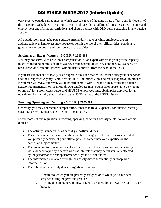year, receive outside earned income which exceeds 15% of the annual rate of basic pay for level II of the Executive Schedule. These non-career employees have additional outside earned income and employment and affiliation restrictions and should consult with DEO before engaging in any outside activity.

All outside work must take place outside official duty hours or while employees are on authorized leave. Employees may not use or permit the use of their official titles, positions, or government resources in their outside work or activities.

#### **Serving as an Expert Witness – 5 C.F.R. § 2635.805**

You may not serve, with or without compensation, as an expert witness in your private capacity in any proceeding before a court or agency of the United States in which the U.S. is a party or has a direct or substantial interest, without prior approval from the head of the DEO.

If you are subpoenaed to testify as an expert in any such matter, you must notify your supervisor and the Designated Agency Ethics Official (DAEO) immediately and request approval to proceed. If you receive DAEO approval, you must still comply with DOI and bureau work and outside activity requirements. For instance, all DOI employees must obtain prior approval to work (paid or unpaid) for a prohibited source, and all USGS employees must obtain prior approval for any outside work or activity that is related to the USGS duties or the USGS mission.

#### **Teaching, Speaking, and Writing – 5 C.F.R. § 2635.807**

Generally, you may not receive compensation, other than travel expenses, for outside teaching, speaking, or writing that relates to your official duties.

For purposes of this regulation, a teaching, speaking, or writing activity relates to your official duties if:

- The activity is undertaken as part of your official duties;
- The circumstances indicate that the invitation to engage in the activity was extended to you primarily because of your official position rather than your expertise on the particular subject matter;
- The invitation to engage in the activity or the offer of compensation for the activity was extended to you by a person who has interests that may be substantially affected by the performance or nonperformance of your official duties;
- The information conveyed through the activity draws substantially on nonpublic information; or
- The subject of the activity deals in significant part with:
	- 1. A matter to which you are presently assigned or to which you have been assigned duringthe previous year; or
	- 2. Any ongoing announced policy, program, or operation of DOI or your office or bureau.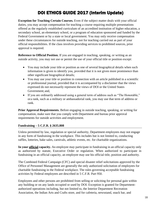**Exception for Teaching Certain Courses.** Even if the subject matter deals with your official duties, you may accept compensation for teaching a course requiring multiple presentations offered as the regularly established curriculum of an accredited institution of higher education, a secondary school, an elementary school, or a program of education sponsored and funded by the Federal Government or by a state or local government. You may only receive compensation under these circumstances for outside teaching, not for teaching carried out as part of your official responsibilities. If the class involves providing services to prohibited sources, prior approval is required.

**Reference to Official Position.** If you are engaged in teaching, speaking, or writing as an outside activity, you may not use or permit the use of your official title or position except:

- You may include your title or position as one of several biographical details when such information is given to identify you, provided that it is not given more prominence than other significant biographical details;
- You may use your title or position in connection with an article published in a scientific or professional journal, provided that it is accompanied by a disclaimer that the views expressed do not necessarily represent the views of DOI or the United States Government; and,
- If you are ordinarily addressed using a general term of address such as "The Honorable," ora rank, such as a military or ambassadorial rank, you may use that term of address or rank.

**Prior Approval Requirements.** Before engaging in outside teaching, speaking, or writing for compensation, make sure that you comply with Department and bureau prior approval requirements for outside activities and employment.

#### **Fundraising – 5 C.F.R. § 2635.808**

Unless permitted by law, regulation or special authority, Department employees may not engage in any form of fundraising in the workplace. This includes but is not limited to, conducting raffles, lotteries, bake sales, carnivals, athletic events, etc. for charitable organizations.

**In your official capacity.** An employee may participate in fundraising in an official capacity only as authorized by statute, Executive Order or regulation. When authorized to participate in fundraising in an official capacity, an employee may use his official title, position and authority.

The Combined Federal Campaign (CFC) and special disaster relief solicitations approved by the Office of Personnel Management are generally the only authorized solicitation of employees for charitable fundraising in the Federal workplace. The rules governing acceptable fundraising activities by Federal employees are described in 5 C.F.R. Part 950.

Employees and other persons are prohibited from selling or soliciting for personal gain within any building or on any lands occupied or used by DOI. Exception is granted for Departmentauthorized operations including, but not limited to, the Interior Department Recreation Association, the Indian Arts and Crafts store, and for cafeteria, newsstand, snack bar, and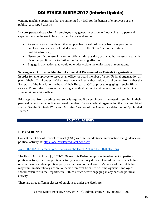vending machine operations that are authorized by DOI for the benefit of employees or the public. 43 C.F.R. **§** 20.504

**In your personal capacity.** An employee may generally engage in fundraising in a personal capacity outside the workplace provided he or she does not:

- Personally solicit funds or other support from a subordinate or from any person the employee knows is a prohibited source (flip to the "Gifts" tab for definition of prohibited source);
- Use or permit the use of his or her official title, position, or any authority associated with his or her public office to further the fundraising effort; or
- Engage in any action that would otherwise violate the ethics laws or regulations.

#### **Serving as an Officer or Member of a Board of Directors of an Outside Organization**

In order for an employee to serve as an officer or board member of a non-Federal organization as part of their official duties, he/she must have a written authorization of assignment from either the Secretary of the Interior or the head of their Bureau or Office prior to engaging in such official service. To start the process of requesting an authorization of assignment, contact the DEO or your servicing ethics office.

Prior approval from an ethics counselor is required if an employee is interested in serving in their personal capacity as an officer or board member of a non-Federal organization that is a prohibited source. See the "Outside Work and Activities" section of this Guide for a definition of "prohibited source."

#### POLITICAL ACTIVITY

#### **DOs and DON'Ts**

Consult the [Office of Special Counsel \(OSC\) w](https://osc.gov/Pages/HatchAct.aspx)ebsite for additional information and guidance on political activity at: [https://osc.gov/Pages/HatchAct.aspx.](https://osc.gov/Pages/HatchAct.aspx)

#### [Watch the DAEO's recent presentation on the Hatch Act and the 2020 elections.](https://www.doi.gov/employees/creativecomms/creativecomms-hatch-act-and-2020-elections)

The Hatch Act, 5 U.S.C. §§ 7321-7326, restricts Federal employee involvement in partisan political activity. Partisan political activity is any activity directed toward the success or failure of a partisan candidate, political party, or partisan political group. Violation of the Hatch Act may result in disciplinary action, to include removal from Federal employment. Employees should consult with the Departmental Ethics Office before engaging in any partisan political activity.

There are three different classes of employees under the Hatch Act:

1. Career Senior Executive Service (SES), Administrative Law Judges (ALJ),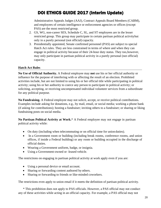Administrative Appeals Judges (AAJ), Contract Appeals Board Members (CABM), and employees of certain intelligence or enforcement agencies or offices (except PAS) are the most restricted group.

- 2. GS, WG, non-career SES, Schedule C, SL, and ST employees are in the lesser restricted group. This group may participate in certain partisan political activitybut only in a purely personal (not official) capacity.
- 3. Presidentially appointed, Senate confirmed personnel (PAS) are subject to special Hatch Act rules. They are less constrained in terms of where and when they can engage in political activity because of their 24-hour duty status. They too,however, may only participate in partisan political activity in a purely personal (not official) capacity.

#### **Hatch Act Rules**

**No Use of Official Authority.** A Federal employee may **not** use his or her official authority or influence for the purpose of interfering with or affecting the result of an election. Prohibited activities include, but are not limited to using his or her official title while participating in political activity; using his or her authority to coerce any person to participate in political activity; or soliciting, accepting, or receiving uncompensated individual volunteer services from a subordinate for any political purpose.

**No Fundraising.** A Federal employee may not solicit, accept, or receive political contributions. Examples include asking for donations, e.g., by mail, email, or social media; working a phone bank (if asking for contributions); hosting a fundraiser; inviting others to a fundraiser; or sharing or liking fundraising posts on social media.

**No Partisan Political Activity at Work.**\* A Federal employee may not engage in partisan political activity while:

- On duty (including when telecommuting or on official time for union duties).
- In a Government room or building (including break rooms, conference rooms, and union offices, if inside a Federal building) or any room or building occupied in the discharge of official duties.
- Wearing a Government uniform, badge, or insignia.
- Using a Government-owned or -leased vehicle.

The restrictions on engaging in partisan political activity at work apply even if you are:

- Using a personal device or email account.
- Sharing or forwarding content authored by others.
- Sharing or forwarding to friends or like-minded coworkers.

The restrictions even apply to union email if it meets the definition of partisan political activity.

\* This prohibition does not apply to PAS officials. However, a PAS official may not conduct any of these activities while acting in an official capacity. For example, a PAS official may not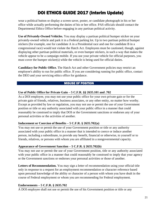wear a political button or display a screen saver, poster, or candidate photograph in his or her office while actually performing the duties of his or her office. PAS officials should contact the Departmental Ethics Office before engaging in any partisan political activity.

**Use of Privately-Owned Vehicles.** You may display a partisan political bumper sticker on your privately-owned vehicle and park it in a Federal parking lot. Up to two partisan political bumper stickers (for example, one for candidate A in a Presidential race and one for candidate B in a congressional race) would not violate the Hatch Act. Employees must be cautioned, though, against displaying other partisan political materials, or even bumper stickers, in such a way that makes the vehicle appear to be a campaign mobile. If you use your private vehicle for official purposes, you must cover the bumper sticker(s) while the vehicle is being used for official duties.

**Candidacy for Public Office.** The Hatch Act and other Government policies may restrict an employee's ability to run for public office. If you are considering running for public office, contact the DEO and your servicing ethics office for guidance.

#### MISUSE OF POSITION

#### **Use of Public Office for Private Gain – 5 C.F.R. §§ 2635.101 and .702**

As a DOI employee, you may not use your public office for your own private gain or for the private gain of friends, relatives, business associates, or any other entity, no matter how worthy. Except as provided by law or regulation, you may not use or permit the use of your Government position or title or any authority associated with your public office in a manner that could reasonably be construed to imply that DOI or the Government sanctions or endorses any of your personal activities or the activities of another.

#### **Inducement or Coercion of Benefits – 5 C.F.R. § 2635.702(a)**

You may not use or permit the use of your Government position or title or any authority associated with your public office in a manner that is intended to coerce or induce another person, including a subordinate, to provide any benefit, financial or otherwise, to yourself or to friends, relatives, or persons with whom you are affiliated in a nongovernmental capacity.

#### **Appearance of Government Sanction – 5 C.F.R. § 2635.702(b)**

You may not use or permit the use of your Government position, title or any authority associated with your public office in a manner that could reasonably be construed to imply that your agency or the Government sanctions or endorses your personal activities or those of another.

**Letters of Recommendation.** You may sign a letter of recommendation using your official title only in response to a request for an employment recommendation or character reference based upon personal knowledge of the ability or character of a person with whom you have dealt in the course of Federal employment or whom you are recommending for Federal employment.

#### **Endorsements – 5 C.F.R. § 2635.702**

A DOI employee shall not use or permit the use of his Government position or title or any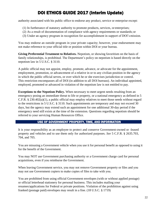authority associated with his public office to endorse any product, service or enterprise except:

- (1) In furtherance of statutory authority to promote products, services, or enterprises;
- (2) As a result of documentation of compliance with agency requirements or standards; or
- (3) Under an agency program in recognition for accomplishment in support of DOI'smission.

You may endorse an outside program in your private capacity; however, your endorsement may not make reference to your official title or position within DOI or your bureau.

**Giving Preferential Treatment to Relatives.** Nepotism, or showing favoritism on the basis of family relationships, is prohibited. The Department's policy on nepotism is based directly on the nepotism law in 5 U.S.C. § 3110.

A public official may not appoint, employ, promote, advance, or advocate for the appointment, employment, promotion, or advancement of a relative in or to any civilian position in the agency in which the public official serves, or over which he or she exercises jurisdiction or control. This restriction encompasses all of DOI (in addition to all DOI bureaus). An individual appointed, employed, promoted or advanced in violation of the nepotism law is not entitled to pay.

**Exceptions to the Nepotism Policy.** When necessary to meet urgent needs resulting from an emergency posing an immediate threat to life or property, or a national emergency as defined in 5 C.F.R. § 230.402(a)(1), a public official may employ relatives to meet those needs without regard to the restrictions in 5 U.S.C. § 3110. Such appointments are temporary and may not exceed 30 days, but the agency may extend such an appointment for one additional 30-day period if the emergency need still exists at the time of the extension. Questions regarding nepotism should be referred to your servicing Human Resources Office.

#### USE OF GOVERNMENT PROPERTY, TIME, AND INFORMATION

It is your responsibility as an employee to protect and conserve Government-owned or -leased property and vehicles and to use them only for authorized purposes. *See* 5 C.F.R. § 2635.703, 704, and 705.

You are misusing a Government vehicle when you use it for personal benefit as opposed to using it for the benefit of the Government.

You may NOT use Government purchasing authority or a Government charge card for personal acquisitions, even if you reimburse the Government.

When leaving Government service, you may not remove Government property or files and you may not use Government copiers to make copies of files to take with you.

You are prohibited from using official Government envelopes (with or without applied postage) or official letterhead stationery for personal business. This includes mailing your resumes/applications for Federal or private positions. Violation of the prohibition against using franked (postage paid) envelopes may result in a fine. (18 U.S.C. § 1719)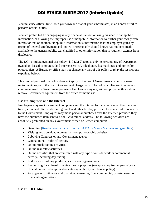You must use official time, both your own and that of your subordinates, in an honest effort to perform official duties.

You are prohibited from engaging in any financial transaction using "insider" or nonpublic information, or allowing the improper use of nonpublic information to further your own private interest or that of another. Nonpublic information is information that the employee gains by reason of Federal employment and knows (or reasonably should know) has not been made available to the general public, e.g. classified or other information that is routinely exempt from disclosure.

The DOI's limited personal use policy (410 DM 2) applies only to personal use of Departmentowned or -leased computers (and internet service), telephones, fax machines, and non-color photocopiers. A Bureau or office may not change any part of this policy to relax the restrictions explained below.

This limited personal use policy does not apply to the use of Government-owned or -leased motor vehicles, or to the use of Government charge cards. The policy applies to Government equipment used on Government premises. Employees may not, without proper authorization, remove Government equipment from the office for home use.

#### **Use of Computers and the Internet**

Employees may use Government computers and the internet for personal use on their personal time (before and after work; during lunch and other breaks) provided there is no additional cost to the Government. Employees may make personal purchases over the Internet, provided they have the purchased item sent to a non-Government address. The following activities are absolutely prohibited on any Government-owned or -leased computer:

- Gambling [\(Read a recent article from the DAEO on March Madness and gambling\)](https://www.doi.gov/sites/doi.gov/files/uploads/gambling_memo.pdf)
- Visiting and downloading material from pornographic websites
- Lobbying Congress or any Government agency
- Campaigning political activity
- Online stock trading activities
- Online real estate activities
- Online activities that are connected with any type of outside work or commercial activity, including day trading
- Endorsements of any products, services or organizations
- Fundraising for external organizations or purposes (except as required as part of your official duties under applicable statutory authority and bureau policy)
- Any type of continuous audio or video streaming from commercial, private, news, or financial organizations.

#### **Use of DOI E-Mail**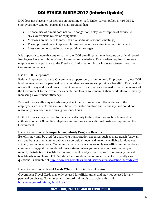DOI does not place any restrictions on incoming e-mail. Under current policy in 410 DM 2, employees may send out personal e-mail provided that:

- Personal use of e-mail does not cause congestion, delay, or disruption of service to any Government system or equipment.
- Messages are not sent to more than five addresses (no mass mailings).
- The employee does not represent himself or herself as acting in an official capacity.
- Messages do not contain partisan political messages.

It is important to note that any e-mail on any DOI e-mail system may become an official record. Employees have no right to privacy for e-mail transmissions; DOI is often required to release employee e-mails pursuant to the Freedom of Information Act or Inspector General, court, or Congressional orders.

#### **Use of DOI Telephones**

Federal Employees may use Government property only as authorized. Employees may use DOI landline telephones for personal calls when they are necessary, provide a benefit to DOI, and do not result in any additional costs to the Government. Such calls are deemed to be in the interest of the Government to the extent they enable employees to remain at their work stations, thereby increasing Government efficiency.

Personal phone calls may not adversely affect the performance of official duties or the employee's work performance, must be of reasonable duration and frequency, and could not reasonably have been made during non-duty hours.

DOI cell phones may be used for personal calls only to the extent that such calls would be authorized on a DOI landline telephone and so long as no additional costs are imposed on the Government.

#### **Use of Government Transportation Subsidy Program Benefits**

Benefits may only be used for qualifying transportation expenses, such as mass transit (subway, rail, and bus) or other similar public transportation mode, and are only available for days you actually commute to work. You must deduct any days you are on leave, official travel, or do not commute using qualified modes of transportation when you receive your next quarterly or monthly distribution. Benefits are not transferable and you are required to return any unused benefits when you leave DOI. Additional information, including answers to frequently asked questions, is available at [http://www.doi.gov/ofas/support\\_services/transportation\\_subsidy.cfm](http://www.doi.gov/ofas/support_services/transportation_subsidy.cfm)

#### **Use of Government Travel Cards While in Official Travel Status**

Government Travel Cards may only be used for official travel and may not be used for any personal purchases. Government charge card training is available at this link: <https://chargecardtraining.ibc.doi.gov/>

#### GAMBLING, RAFFLES AND BETTING POOLS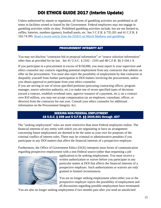Unless authorized by statute or regulation, all forms of gambling activities are prohibited at all times in facilities owned or leased by the Government. Federal employees may not engage in gambling activities while on duty. Prohibited gambling activities include, but are not limited to, raffles, lotteries, numbers (games), football pools, etc. See 5 C.F.R. § 735.201 and 41 C.F.R. § 102-74.395. [Read a recent article from the DAEO on March Madness and gambling.](https://www.doi.gov/sites/doi.gov/files/uploads/gambling_memo.pdf)

#### PROCUREMENT INTEGRITY ACT

You may not disclose "contractor bid or proposal information" or "source selection information" other than as provided for by law. *See* 41 U.S.C. § 2102 - 2105 and 48 C.F.R. §§ 3-104.1-9.

If you participate in a procurement in excess of \$150,000, you must report to your supervisor and ethics counselor any contacts regarding potential employment from any contractor that submits an offer on the procurement. You must also reject the possibility of employment by that contractor or disqualify yourself from further participation in DOI matters involving the procurement, unless you obtain approval to participate from your ethics counselor.

If you are serving in one of seven specified positions (procuring contracting officer, program manager, source selection authority, etc.) or make one of seven specified types of decisions (award a contract, establish overhead rates, approve issuance of a payment, etc.), on a contract over \$10 million, you may not accept compensation (as an employee, consultant, officer, or director) from the contractor for one year. Consult your ethics counselor for additional information on the Procurement Integrity Act.

#### SEEKING NON-FEDERAL EMPLOYMENT 18 U.S.C. § 208 and 5 C.F.R. §§ 2635.601 through .607

The "seeking employment" rules are more restrictive than most Federal employees realize. The financial interests of any entity with which you are negotiating or have an arrangement concerning future employment are deemed to be the same as your own for purposes of the criminal conflict of interest rules. There may be criminal or administrative penalties if you participate in any DOI matters that affect the financial interests of a prospective employer.

Furthermore, the Office of Government Ethics (OGE) interprets most forms of communication regarding prospective employment with a non-Federal source (other than requesting a job



application) to be seeking employment. You must receive a written authorization or waiver before you participate in any particular matter at DOI that affects the financial interests of a prospective employer. Such authorizations or waivers are only granted in limited circumstances.

You are no longer seeking employment when either you or the prospective employer rejects the possibility of employment and all discussions regarding possible employment have terminated.

You are also no longer seeking employment if two months pass after you send an unsolicited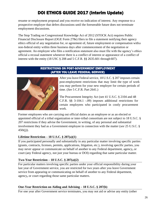resume or employment proposal and you receive no indication of interest. Any response to a prospective employer that defers discussions until the foreseeable future does not terminate employment discussions.

The Stop Trading on Congressional Knowledge Act of 2012 (STOCK Act) requires Public Financial Disclosure Report (OGE Form 278e) filers to file a statement notifying their agency ethics official of any negotiation for, or agreement of, future employment or compensation witha non-federal entity within three business days after commencement of the negotiation or agreement. An employee who files a notification statement also must file with the agency's ethics official a recusal statement whenever there is a conflict of interest or appearance of a conflict of interest with the entity (18 USC § 208 and 5 C.F.R. §§ 2635.601 through 607).

#### RESTRICTIONS ON POST-GOVERNMENT EMPLOYMENT (AFTER YOU LEAVE FEDERAL SERVICE)



After you leave Federal service, 18 U.S.C. § 207 imposes certain post-employment restrictions that may limit the type of work you may perform for your new employer for certain periods of time. (*See* 5 C.F.R. Part 2641.)

The Procurement Integrity Act (see 41 U.S.C. § 2104 and 48 C.F.R. §§ 3-104.1 -.09) imposes additional restrictions for certain employees who participated in costly procurement work.

Former employees who are carrying out official duties as an employee or as an elected or appointed official of a tribal organization or inter-tribal consortium are not subject to 18 U.S.C. § 207 restrictions if they advise the Government, in writing, of any personal and substantial involvement they had as a Government employee in connection with the matter (*see* 25 U.S.C. §  $450i(j)$ ).

#### **Lifetime Restriction – 18 U.S.C. § 207(a)(1)**

If you participated personally and substantially in any particular matter involving specific parties (grants, contracts, licenses, permits, applications, litigation, etc.), involving specific parties, you may never appear or communicate on behalf of another to any Federal department, agency**,** or court (any Federal agency, not just your bureau or DOI) regarding that same particular matter.

#### **Two-Year Restriction – 18 U.S.C. § 207(a)(2)**

For particular matters involving specific parties under your official responsibility during your last year of Government service, you are restricted for two years after you leave Government service from appearing or communicating on behalf of another to any Federal department, agency**,** or court regarding those same particular matters.

#### **One-Year Restriction on Aiding and Advising – 18 U.S.C. § 207(b)**

For one year after Government service terminates, you may not aid or advise any entity (other